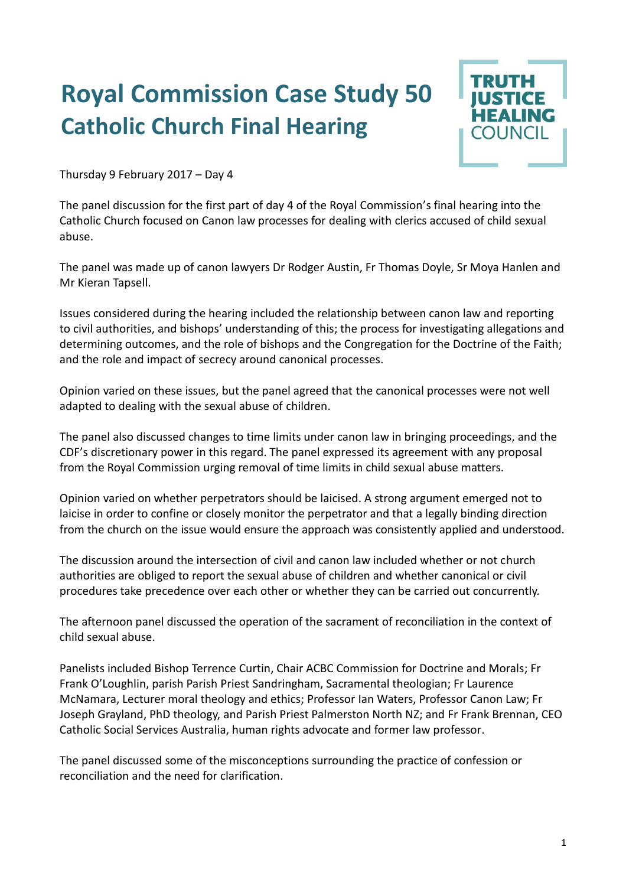## **Royal Commission Case Study 50 Catholic Church Final Hearing**



Thursday 9 February 2017 – Day 4

The panel discussion for the first part of day 4 of the Royal Commission's final hearing into the Catholic Church focused on Canon law processes for dealing with clerics accused of child sexual abuse.

The panel was made up of canon lawyers Dr Rodger Austin, Fr Thomas Doyle, Sr Moya Hanlen and Mr Kieran Tapsell.

Issues considered during the hearing included the relationship between canon law and reporting to civil authorities, and bishops' understanding of this; the process for investigating allegations and determining outcomes, and the role of bishops and the Congregation for the Doctrine of the Faith; and the role and impact of secrecy around canonical processes.

Opinion varied on these issues, but the panel agreed that the canonical processes were not well adapted to dealing with the sexual abuse of children.

The panel also discussed changes to time limits under canon law in bringing proceedings, and the CDF's discretionary power in this regard. The panel expressed its agreement with any proposal from the Royal Commission urging removal of time limits in child sexual abuse matters.

Opinion varied on whether perpetrators should be laicised. A strong argument emerged not to laicise in order to confine or closely monitor the perpetrator and that a legally binding direction from the church on the issue would ensure the approach was consistently applied and understood.

The discussion around the intersection of civil and canon law included whether or not church authorities are obliged to report the sexual abuse of children and whether canonical or civil procedures take precedence over each other or whether they can be carried out concurrently.

The afternoon panel discussed the operation of the sacrament of reconciliation in the context of child sexual abuse.

Panelists included Bishop Terrence Curtin, Chair ACBC Commission for Doctrine and Morals; Fr Frank O'Loughlin, parish Parish Priest Sandringham, Sacramental theologian; Fr Laurence McNamara, Lecturer moral theology and ethics; Professor Ian Waters, Professor Canon Law; Fr Joseph Grayland, PhD theology, and Parish Priest Palmerston North NZ; and Fr Frank Brennan, CEO Catholic Social Services Australia, human rights advocate and former law professor.

The panel discussed some of the misconceptions surrounding the practice of confession or reconciliation and the need for clarification.